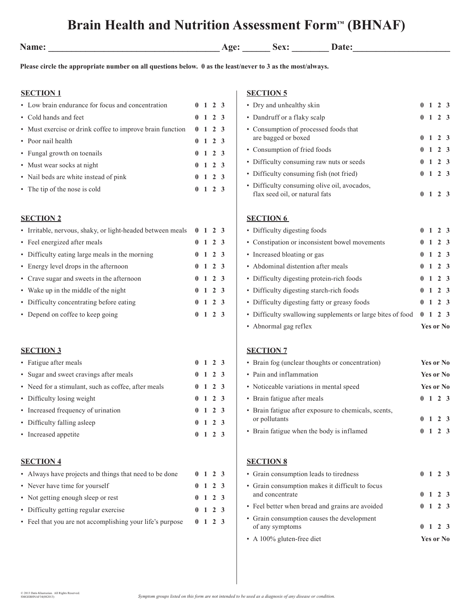# **Brain Health and Nutrition Assessment Form™ (BHNAF)**

| am | a sa |
|----|------|
|    |      |

**Name: Name: Name: Name: Name: Date: Date: Date: Name: Name: Name: Name: Name: Name: Name: Name: Name: Name: Name: Name: N** 

**Please circle the appropriate number on all questions below. 0 as the least/never to 3 as the most/always.**

# **SECTION 1**

| • Low brain endurance for focus and concentration         |                | $0 \t1 \t2 \t3$ |  |
|-----------------------------------------------------------|----------------|-----------------|--|
| • Cold hands and feet                                     |                | $0 \t1 \t2 \t3$ |  |
| • Must exercise or drink coffee to improve brain function |                | $0 \t1 \t2 \t3$ |  |
| • Poor nail health                                        |                | $0 \t1 \t2 \t3$ |  |
| • Fungal growth on toenails                               |                | $0 \t1 \t2 \t3$ |  |
| • Must wear socks at night                                |                | $0 \t1 \t2 \t3$ |  |
| • Nail beds are white instead of pink                     |                | $0 \t1 \t2 \t3$ |  |
| • The tip of the nose is cold                             | 0 <sub>1</sub> | 2 3             |  |

#### **SECTION 2**

| • Irritable, nervous, shaky, or light-headed between meals 0 1 2 3 |  |                 |  |
|--------------------------------------------------------------------|--|-----------------|--|
| • Feel energized after meals                                       |  | $0 \t1 \t2 \t3$ |  |
| • Difficulty eating large meals in the morning                     |  | $0 \t1 \t2 \t3$ |  |
| • Energy level drops in the afternoon                              |  | $0 \t1 \t2 \t3$ |  |
| • Crave sugar and sweets in the afternoon                          |  | $0 \t1 \t2 \t3$ |  |
| • Wake up in the middle of the night                               |  | $0 \t1 \t2 \t3$ |  |
| • Difficulty concentrating before eating                           |  | $0 \t1 \t2 \t3$ |  |
| • Depend on coffee to keep going                                   |  | $0 \t1 \t2 \t3$ |  |

# **SECTION 3**

| • Fatigue after meals                               |  | $0 \t1 \t2 \t3$ |  |
|-----------------------------------------------------|--|-----------------|--|
| • Sugar and sweet cravings after meals              |  | $0 \t1 \t2 \t3$ |  |
| • Need for a stimulant, such as coffee, after meals |  | $0 \t1 \t2 \t3$ |  |
| • Difficulty losing weight                          |  | $0 \t1 \t2 \t3$ |  |
| • Increased frequency of urination                  |  | $0 \t1 \t2 \t3$ |  |
| • Difficulty falling as leep                        |  | $0 \t1 \t2 \t3$ |  |
| • Increased appetite                                |  | $0 \t1 \t2 \t3$ |  |

#### **SECTION 4**

| • Always have projects and things that need to be done    |  | $0 \t1 \t2 \t3$ |  |
|-----------------------------------------------------------|--|-----------------|--|
| • Never have time for yourself                            |  | $0 \t1 \t2 \t3$ |  |
| • Not getting enough sleep or rest                        |  | $0 \t1 \t2 \t3$ |  |
| • Difficulty getting regular exercise                     |  | $0 \t1 \t2 \t3$ |  |
| • Feel that you are not accomplishing your life's purpose |  | $0 \t1 \t2 \t3$ |  |

# **SECTION 5**

| • Dry and unhealthy skin                                                      | 0            |                | $1\quad 2\quad 3$ |     |
|-------------------------------------------------------------------------------|--------------|----------------|-------------------|-----|
| • Dandruff or a flaky scalp                                                   |              |                | $0 \t1 \t2 \t3$   |     |
| • Consumption of processed foods that<br>are bagged or boxed                  |              | 0 <sub>1</sub> | 2 <sub>3</sub>    |     |
| • Consumption of fried foods                                                  |              | 0 <sub>1</sub> | 2 <sub>3</sub>    |     |
| • Difficulty consuming raw nuts or seeds                                      | $\mathbf{0}$ | 1              | 2 <sub>3</sub>    |     |
| • Difficulty consuming fish (not fried)                                       | 0            | $\overline{1}$ | 2 <sub>3</sub>    |     |
| • Difficulty consuming olive oil, avocados,<br>flax seed oil, or natural fats |              |                | $0 \t1 \t2 \t3$   |     |
| <b>SECTION 6</b>                                                              |              |                |                   |     |
| • Difficulty digesting foods                                                  |              |                | $0 \t1 \t2 \t3$   |     |
| • Constipation or inconsistent bowel movements                                | 0            | $\overline{1}$ | 2 <sub>3</sub>    |     |
| • Increased bloating or gas                                                   | 0            | $\mathbf{1}$   | 2 <sub>3</sub>    |     |
| • Abdominal distention after meals                                            | $\mathbf{0}$ | 1              | 2 <sub>3</sub>    |     |
| • Difficulty digesting protein-rich foods                                     |              | 1              | $\mathbf{2}$      | - 3 |
|                                                                               | $\mathbf{0}$ |                |                   |     |
| • Difficulty digesting starch-rich foods                                      | 0            | $\mathbf{1}$   | $\overline{2}$    | - 3 |

 Difficulty swallowing supplements or large bites of food **0 1 2 3** Abnormal gag reflex **Yes or No**

# **SECTION 7**

| • Brain fog (unclear thoughts or concentration)                       | Yes or No       |
|-----------------------------------------------------------------------|-----------------|
| • Pain and inflammation                                               | Yes or No       |
| • Noticeable variations in mental speed                               | Yes or No       |
| • Brain fatigue after meals                                           | $0 \t1 \t2 \t3$ |
| • Brain fatigue after exposure to chemicals, scents,<br>or pollutants | $0 \t1 \t2 \t3$ |
| • Brain fatigue when the body is inflamed                             | $0 \t1 \t2 \t3$ |

#### **SECTION 8**

| • A 100% gluten-free diet                                          |  | Yes or No       |  |
|--------------------------------------------------------------------|--|-----------------|--|
| • Grain consumption causes the development<br>of any symptoms      |  | $0 \t1 \t2 \t3$ |  |
| • Feel better when bread and grains are avoided                    |  | $0 \t1 \t2 \t3$ |  |
| • Grain consumption makes it difficult to focus<br>and concentrate |  | $0 \t1 \t2 \t3$ |  |
| • Grain consumption leads to tiredness                             |  | $0 \t1 \t2 \t3$ |  |